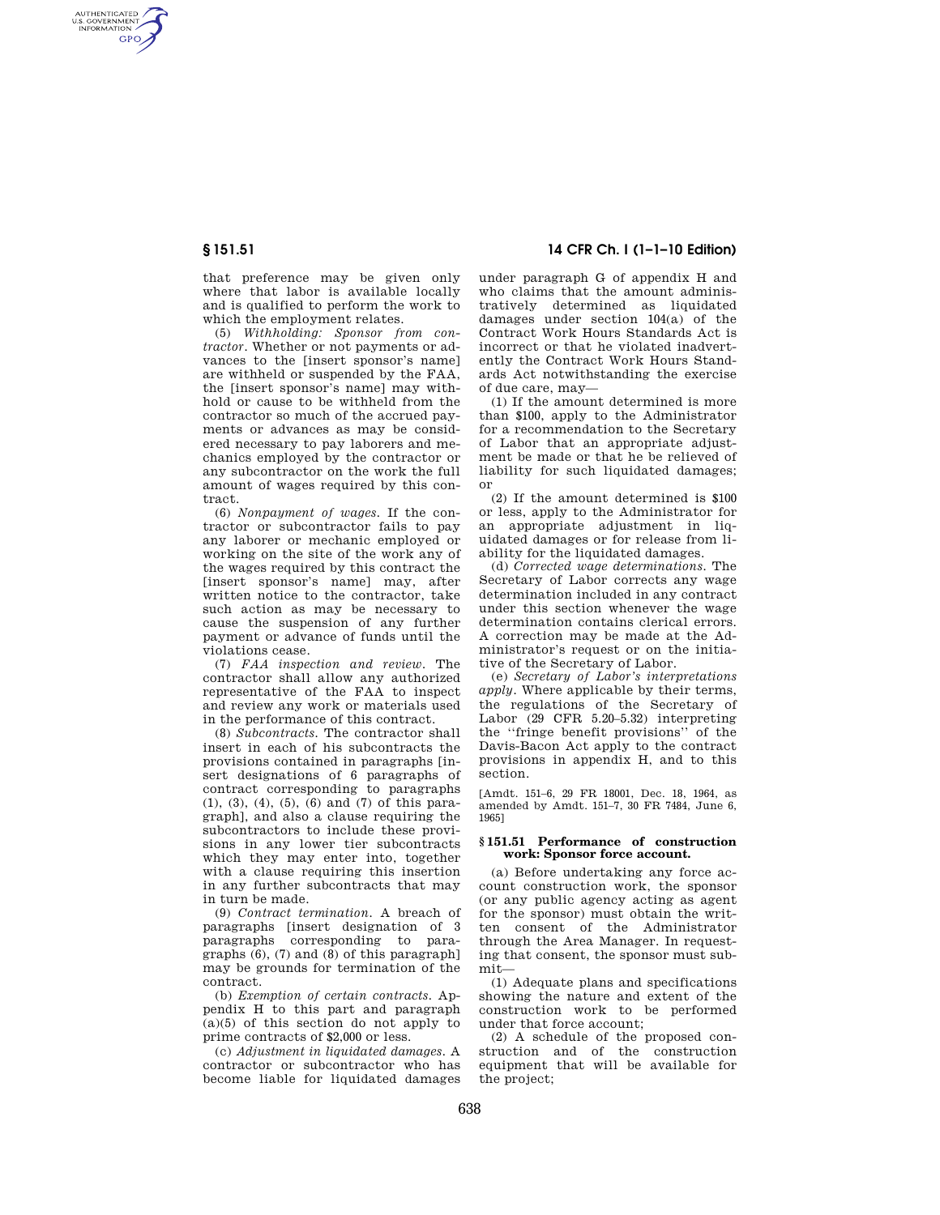AUTHENTICATED<br>U.S. GOVERNMENT<br>INFORMATION **GPO** 

> that preference may be given only where that labor is available locally and is qualified to perform the work to which the employment relates.

> (5) *Withholding: Sponsor from contractor.* Whether or not payments or advances to the [insert sponsor's name] are withheld or suspended by the FAA, the [insert sponsor's name] may withhold or cause to be withheld from the contractor so much of the accrued payments or advances as may be considered necessary to pay laborers and mechanics employed by the contractor or any subcontractor on the work the full amount of wages required by this contract.

> (6) *Nonpayment of wages.* If the contractor or subcontractor fails to pay any laborer or mechanic employed or working on the site of the work any of the wages required by this contract the [insert sponsor's name] may, after written notice to the contractor, take such action as may be necessary to cause the suspension of any further payment or advance of funds until the violations cease.

> (7) *FAA inspection and review.* The contractor shall allow any authorized representative of the FAA to inspect and review any work or materials used in the performance of this contract.

> (8) *Subcontracts.* The contractor shall insert in each of his subcontracts the provisions contained in paragraphs [insert designations of 6 paragraphs of contract corresponding to paragraphs (1), (3), (4), (5), (6) and (7) of this paragraph], and also a clause requiring the subcontractors to include these provisions in any lower tier subcontracts which they may enter into, together with a clause requiring this insertion in any further subcontracts that may in turn be made.

> (9) *Contract termination.* A breach of paragraphs [insert designation of 3 paragraphs corresponding to paragraphs (6), (7) and (8) of this paragraph] may be grounds for termination of the contract.

> (b) *Exemption of certain contracts.* Appendix H to this part and paragraph  $(a)(5)$  of this section do not apply to prime contracts of \$2,000 or less.

> (c) *Adjustment in liquidated damages.* A contractor or subcontractor who has become liable for liquidated damages

# **§ 151.51 14 CFR Ch. I (1–1–10 Edition)**

under paragraph G of appendix H and who claims that the amount administratively determined as liquidated damages under section 104(a) of the Contract Work Hours Standards Act is incorrect or that he violated inadvertently the Contract Work Hours Standards Act notwithstanding the exercise of due care, may—

(1) If the amount determined is more than \$100, apply to the Administrator for a recommendation to the Secretary of Labor that an appropriate adjustment be made or that he be relieved of liability for such liquidated damages; or

(2) If the amount determined is \$100 or less, apply to the Administrator for an appropriate adjustment in liquidated damages or for release from liability for the liquidated damages.

(d) *Corrected wage determinations.* The Secretary of Labor corrects any wage determination included in any contract under this section whenever the wage determination contains clerical errors. A correction may be made at the Administrator's request or on the initiative of the Secretary of Labor.

(e) *Secretary of Labor's interpretations apply.* Where applicable by their terms, the regulations of the Secretary of Labor (29 CFR 5.20–5.32) interpreting the ''fringe benefit provisions'' of the Davis-Bacon Act apply to the contract provisions in appendix H, and to this section.

[Amdt. 151–6, 29 FR 18001, Dec. 18, 1964, as amended by Amdt. 151–7, 30 FR 7484, June 6, 1965]

## **§ 151.51 Performance of construction work: Sponsor force account.**

(a) Before undertaking any force account construction work, the sponsor (or any public agency acting as agent for the sponsor) must obtain the written consent of the Administrator through the Area Manager. In requesting that consent, the sponsor must submit—

(1) Adequate plans and specifications showing the nature and extent of the construction work to be performed under that force account;

(2) A schedule of the proposed construction and of the construction equipment that will be available for the project;